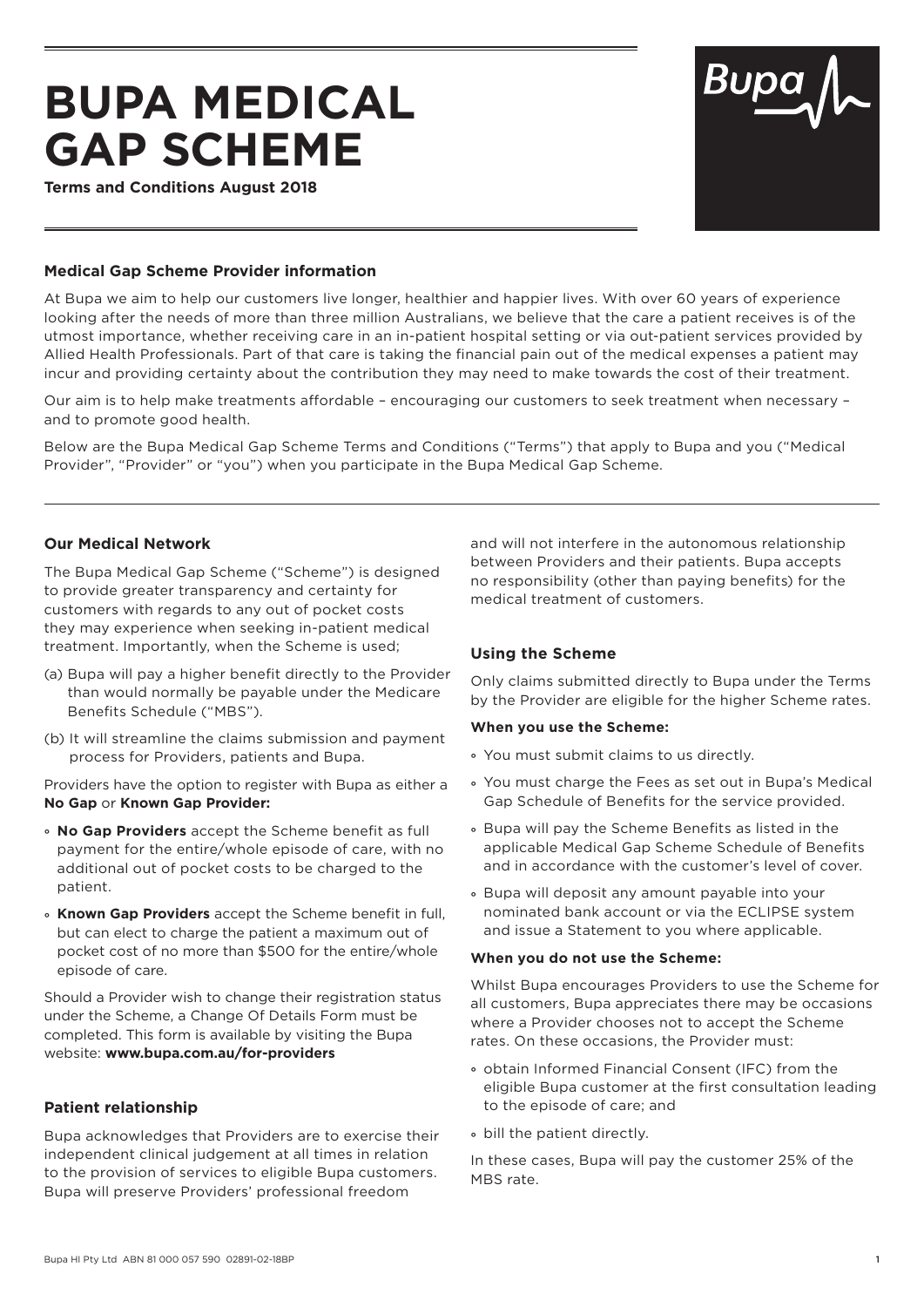**Terms and Conditions August 2018**



# **Medical Gap Scheme Provider information**

At Bupa we aim to help our customers live longer, healthier and happier lives. With over 60 years of experience looking after the needs of more than three million Australians, we believe that the care a patient receives is of the utmost importance, whether receiving care in an in-patient hospital setting or via out-patient services provided by Allied Health Professionals. Part of that care is taking the financial pain out of the medical expenses a patient may incur and providing certainty about the contribution they may need to make towards the cost of their treatment.

Our aim is to help make treatments affordable – encouraging our customers to seek treatment when necessary – and to promote good health.

Below are the Bupa Medical Gap Scheme Terms and Conditions ("Terms") that apply to Bupa and you ("Medical Provider", "Provider" or "you") when you participate in the Bupa Medical Gap Scheme.

### **Our Medical Network**

The Bupa Medical Gap Scheme ("Scheme") is designed to provide greater transparency and certainty for customers with regards to any out of pocket costs they may experience when seeking in-patient medical treatment. Importantly, when the Scheme is used;

- (a) Bupa will pay a higher benefit directly to the Provider than would normally be payable under the Medicare Benefits Schedule ("MBS").
- (b) It will streamline the claims submission and payment process for Providers, patients and Bupa.

Providers have the option to register with Bupa as either a **No Gap** or **Known Gap Provider:**

- **° No Gap Providers** accept the Scheme benefit as full payment for the entire/whole episode of care, with no additional out of pocket costs to be charged to the patient.
- **° Known Gap Providers** accept the Scheme benefit in full, but can elect to charge the patient a maximum out of pocket cost of no more than \$500 for the entire/whole episode of care.

Should a Provider wish to change their registration status under the Scheme, a Change Of Details Form must be completed. This form is available by visiting the Bupa website: **www.bupa.com.au/for-providers**

# **Patient relationship**

Bupa acknowledges that Providers are to exercise their independent clinical judgement at all times in relation to the provision of services to eligible Bupa customers. Bupa will preserve Providers' professional freedom

and will not interfere in the autonomous relationship between Providers and their patients. Bupa accepts no responsibility (other than paying benefits) for the medical treatment of customers.

### **Using the Scheme**

Only claims submitted directly to Bupa under the Terms by the Provider are eligible for the higher Scheme rates.

#### **When you use the Scheme:**

- **°** You must submit claims to us directly.
- **°** You must charge the Fees as set out in Bupa's Medical Gap Schedule of Benefits for the service provided.
- **°** Bupa will pay the Scheme Benefits as listed in the applicable Medical Gap Scheme Schedule of Benefits and in accordance with the customer's level of cover.
- **°** Bupa will deposit any amount payable into your nominated bank account or via the ECLIPSE system and issue a Statement to you where applicable.

#### **When you do not use the Scheme:**

Whilst Bupa encourages Providers to use the Scheme for all customers, Bupa appreciates there may be occasions where a Provider chooses not to accept the Scheme rates. On these occasions, the Provider must:

- **°** obtain Informed Financial Consent (IFC) from the eligible Bupa customer at the first consultation leading to the episode of care; and
- **°** bill the patient directly.

In these cases, Bupa will pay the customer 25% of the MBS rate.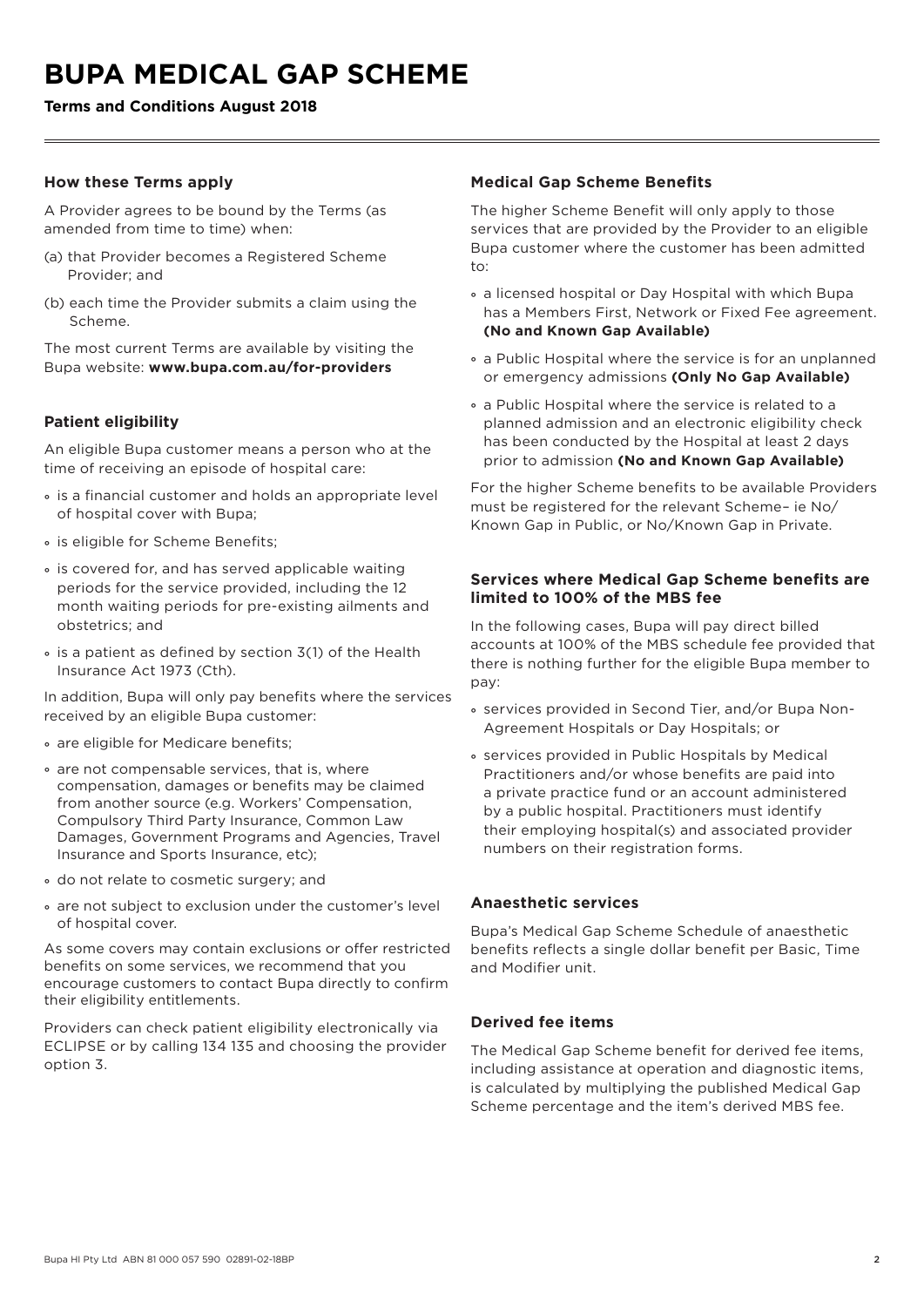# **Terms and Conditions August 2018**

### **How these Terms apply**

A Provider agrees to be bound by the Terms (as amended from time to time) when:

- (a) that Provider becomes a Registered Scheme Provider; and
- (b) each time the Provider submits a claim using the Scheme.

The most current Terms are available by visiting the Bupa website: **www.bupa.com.au/for-providers**

# **Patient eligibility**

An eligible Bupa customer means a person who at the time of receiving an episode of hospital care:

- **°** is a financial customer and holds an appropriate level of hospital cover with Bupa;
- **°** is eligible for Scheme Benefits;
- **°** is covered for, and has served applicable waiting periods for the service provided, including the 12 month waiting periods for pre-existing ailments and obstetrics; and
- **°** is a patient as defined by section 3(1) of the Health Insurance Act 1973 (Cth).

In addition, Bupa will only pay benefits where the services received by an eligible Bupa customer:

- **°** are eligible for Medicare benefits;
- **°** are not compensable services, that is, where compensation, damages or benefits may be claimed from another source (e.g. Workers' Compensation, Compulsory Third Party Insurance, Common Law Damages, Government Programs and Agencies, Travel Insurance and Sports Insurance, etc);
- **°** do not relate to cosmetic surgery; and
- **°** are not subject to exclusion under the customer's level of hospital cover.

As some covers may contain exclusions or offer restricted benefits on some services, we recommend that you encourage customers to contact Bupa directly to confirm their eligibility entitlements.

Providers can check patient eligibility electronically via ECLIPSE or by calling 134 135 and choosing the provider option 3.

# **Medical Gap Scheme Benefits**

The higher Scheme Benefit will only apply to those services that are provided by the Provider to an eligible Bupa customer where the customer has been admitted to:

- **°** a licensed hospital or Day Hospital with which Bupa has a Members First, Network or Fixed Fee agreement. **(No and Known Gap Available)**
- **°** a Public Hospital where the service is for an unplanned or emergency admissions **(Only No Gap Available)**
- **°** a Public Hospital where the service is related to a planned admission and an electronic eligibility check has been conducted by the Hospital at least 2 days prior to admission **(No and Known Gap Available)**

For the higher Scheme benefits to be available Providers must be registered for the relevant Scheme– ie No/ Known Gap in Public, or No/Known Gap in Private.

# **Services where Medical Gap Scheme benefits are limited to 100% of the MBS fee**

In the following cases, Bupa will pay direct billed accounts at 100% of the MBS schedule fee provided that there is nothing further for the eligible Bupa member to pay:

- **°** services provided in Second Tier, and/or Bupa Non-Agreement Hospitals or Day Hospitals; or
- **°** services provided in Public Hospitals by Medical Practitioners and/or whose benefits are paid into a private practice fund or an account administered by a public hospital. Practitioners must identify their employing hospital(s) and associated provider numbers on their registration forms.

#### **Anaesthetic services**

Bupa's Medical Gap Scheme Schedule of anaesthetic benefits reflects a single dollar benefit per Basic, Time and Modifier unit.

#### **Derived fee items**

The Medical Gap Scheme benefit for derived fee items, including assistance at operation and diagnostic items, is calculated by multiplying the published Medical Gap Scheme percentage and the item's derived MBS fee.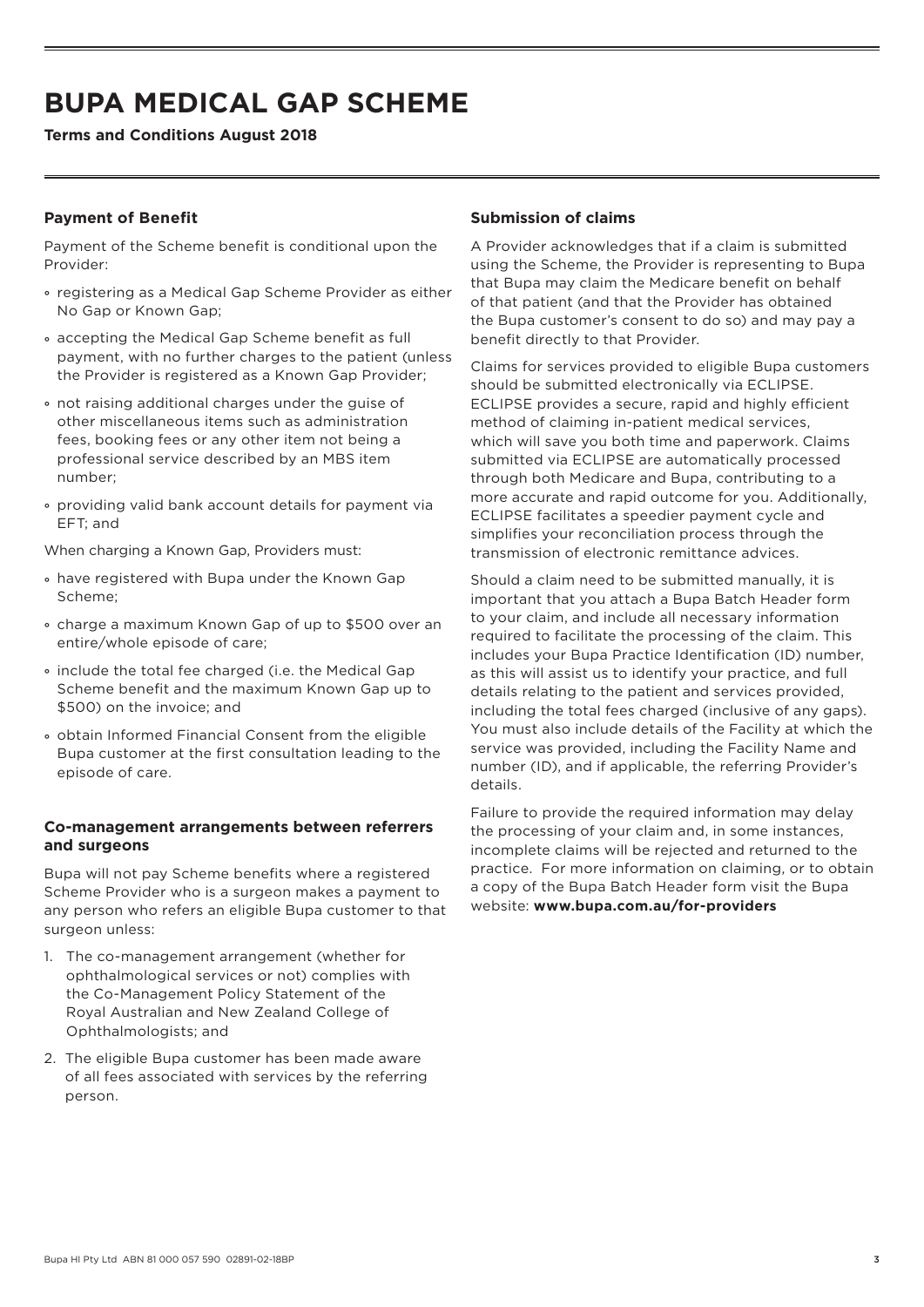**Terms and Conditions August 2018**

# **Payment of Benefit**

Payment of the Scheme benefit is conditional upon the Provider:

- **°** registering as a Medical Gap Scheme Provider as either No Gap or Known Gap;
- **°** accepting the Medical Gap Scheme benefit as full payment, with no further charges to the patient (unless the Provider is registered as a Known Gap Provider;
- **°** not raising additional charges under the guise of other miscellaneous items such as administration fees, booking fees or any other item not being a professional service described by an MBS item number;
- **°** providing valid bank account details for payment via EFT; and

When charging a Known Gap, Providers must:

- **°** have registered with Bupa under the Known Gap Scheme;
- **°** charge a maximum Known Gap of up to \$500 over an entire/whole episode of care;
- **°** include the total fee charged (i.e. the Medical Gap Scheme benefit and the maximum Known Gap up to \$500) on the invoice; and
- **°** obtain Informed Financial Consent from the eligible Bupa customer at the first consultation leading to the episode of care.

# **Co-management arrangements between referrers and surgeons**

Bupa will not pay Scheme benefits where a registered Scheme Provider who is a surgeon makes a payment to any person who refers an eligible Bupa customer to that surgeon unless:

- 1. The co-management arrangement (whether for ophthalmological services or not) complies with the Co-Management Policy Statement of the Royal Australian and New Zealand College of Ophthalmologists; and
- 2. The eligible Bupa customer has been made aware of all fees associated with services by the referring person.

# **Submission of claims**

A Provider acknowledges that if a claim is submitted using the Scheme, the Provider is representing to Bupa that Bupa may claim the Medicare benefit on behalf of that patient (and that the Provider has obtained the Bupa customer's consent to do so) and may pay a benefit directly to that Provider.

Claims for services provided to eligible Bupa customers should be submitted electronically via ECLIPSE. ECLIPSE provides a secure, rapid and highly efficient method of claiming in-patient medical services, which will save you both time and paperwork. Claims submitted via ECLIPSE are automatically processed through both Medicare and Bupa, contributing to a more accurate and rapid outcome for you. Additionally, ECLIPSE facilitates a speedier payment cycle and simplifies your reconciliation process through the transmission of electronic remittance advices.

Should a claim need to be submitted manually, it is important that you attach a Bupa Batch Header form to your claim, and include all necessary information required to facilitate the processing of the claim. This includes your Bupa Practice Identification (ID) number, as this will assist us to identify your practice, and full details relating to the patient and services provided, including the total fees charged (inclusive of any gaps). You must also include details of the Facility at which the service was provided, including the Facility Name and number (ID), and if applicable, the referring Provider's details.

Failure to provide the required information may delay the processing of your claim and, in some instances, incomplete claims will be rejected and returned to the practice. For more information on claiming, or to obtain a copy of the Bupa Batch Header form visit the Bupa website: **www.bupa.com.au/for-providers**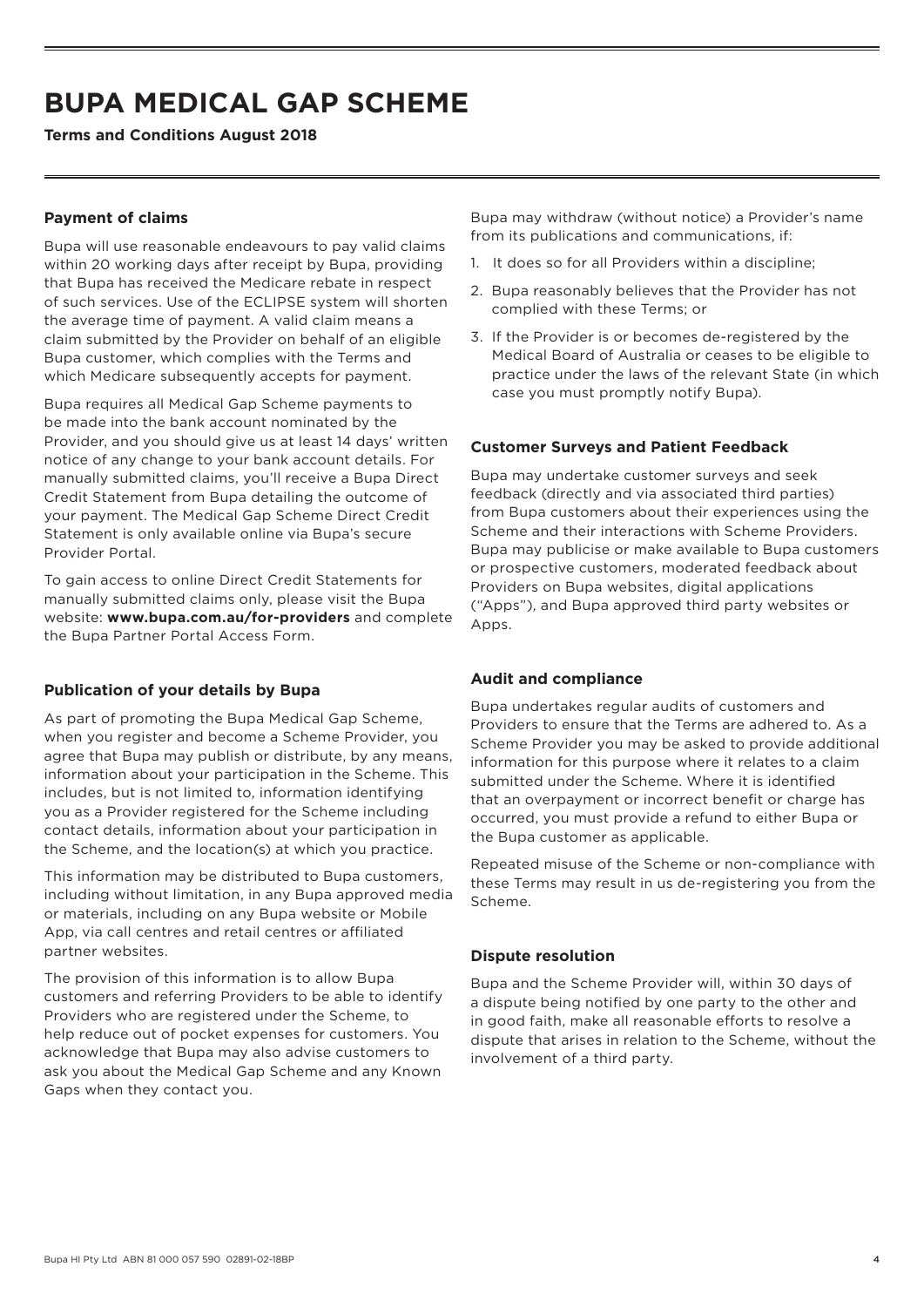**Terms and Conditions August 2018**

# **Payment of claims**

Bupa will use reasonable endeavours to pay valid claims within 20 working days after receipt by Bupa, providing that Bupa has received the Medicare rebate in respect of such services. Use of the ECLIPSE system will shorten the average time of payment. A valid claim means a claim submitted by the Provider on behalf of an eligible Bupa customer, which complies with the Terms and which Medicare subsequently accepts for payment.

Bupa requires all Medical Gap Scheme payments to be made into the bank account nominated by the Provider, and you should give us at least 14 days' written notice of any change to your bank account details. For manually submitted claims, you'll receive a Bupa Direct Credit Statement from Bupa detailing the outcome of your payment. The Medical Gap Scheme Direct Credit Statement is only available online via Bupa's secure Provider Portal.

To gain access to online Direct Credit Statements for manually submitted claims only, please visit the Bupa website: **www.bupa.com.au/for-providers** and complete the Bupa Partner Portal Access Form.

# **Publication of your details by Bupa**

As part of promoting the Bupa Medical Gap Scheme, when you register and become a Scheme Provider, you agree that Bupa may publish or distribute, by any means, information about your participation in the Scheme. This includes, but is not limited to, information identifying you as a Provider registered for the Scheme including contact details, information about your participation in the Scheme, and the location(s) at which you practice.

This information may be distributed to Bupa customers, including without limitation, in any Bupa approved media or materials, including on any Bupa website or Mobile App, via call centres and retail centres or affiliated partner websites.

The provision of this information is to allow Bupa customers and referring Providers to be able to identify Providers who are registered under the Scheme, to help reduce out of pocket expenses for customers. You acknowledge that Bupa may also advise customers to ask you about the Medical Gap Scheme and any Known Gaps when they contact you.

Bupa may withdraw (without notice) a Provider's name from its publications and communications, if:

- 1. It does so for all Providers within a discipline;
- 2. Bupa reasonably believes that the Provider has not complied with these Terms; or
- 3. If the Provider is or becomes de-registered by the Medical Board of Australia or ceases to be eligible to practice under the laws of the relevant State (in which case you must promptly notify Bupa).

# **Customer Surveys and Patient Feedback**

Bupa may undertake customer surveys and seek feedback (directly and via associated third parties) from Bupa customers about their experiences using the Scheme and their interactions with Scheme Providers. Bupa may publicise or make available to Bupa customers or prospective customers, moderated feedback about Providers on Bupa websites, digital applications ("Apps"), and Bupa approved third party websites or Apps.

# **Audit and compliance**

Bupa undertakes regular audits of customers and Providers to ensure that the Terms are adhered to. As a Scheme Provider you may be asked to provide additional information for this purpose where it relates to a claim submitted under the Scheme. Where it is identified that an overpayment or incorrect benefit or charge has occurred, you must provide a refund to either Bupa or the Bupa customer as applicable.

Repeated misuse of the Scheme or non-compliance with these Terms may result in us de-registering you from the Scheme.

# **Dispute resolution**

Bupa and the Scheme Provider will, within 30 days of a dispute being notified by one party to the other and in good faith, make all reasonable efforts to resolve a dispute that arises in relation to the Scheme, without the involvement of a third party.